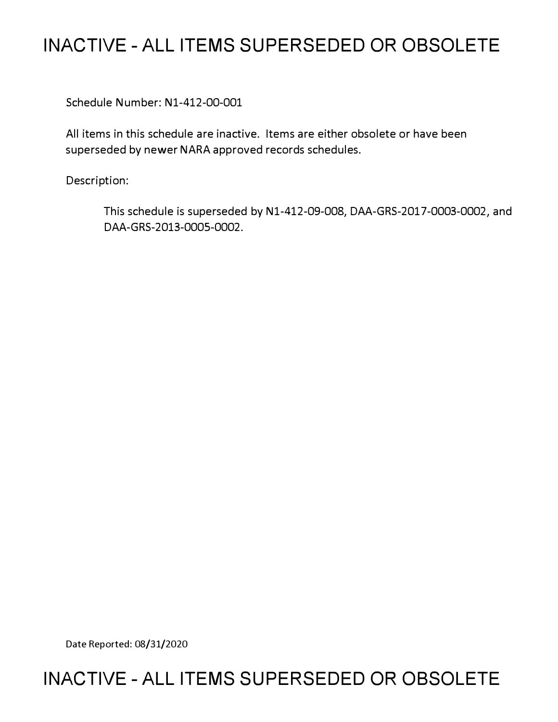# **INACTIVE - ALL ITEMS SUPERSEDED OR OBSOLETE**

Schedule Number: Nl-412-00-001

All items in this schedule are inactive. Items are either obsolete or have been superseded by newer NARA approved records schedules.

Description:

This schedule is superseded by Nl-412-09-008, DAA-GRS-2017-0003-0002, and DAA-GRS-2013-0005-0002.

Date Reported: 08/31/2020

# **INACTIVE - ALL ITEMS SUPERSEDED OR OBSOLETE**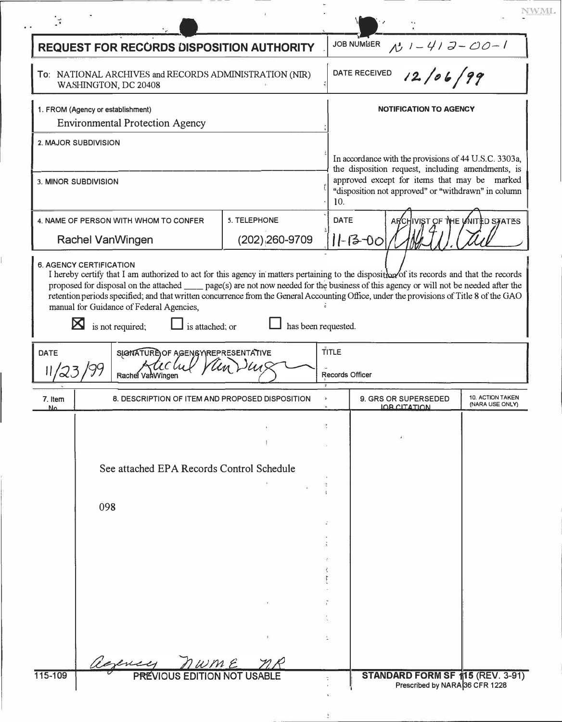|                                                                                 |                      | <b>REQUEST FOR RECORDS DISPOSITION AUTHORITY</b>                                |              |                        | <b>JOB NUMBER</b><br>$1 - 413 - 00 - 1$                                                                                                                                                                           |                                     |
|---------------------------------------------------------------------------------|----------------------|---------------------------------------------------------------------------------|--------------|------------------------|-------------------------------------------------------------------------------------------------------------------------------------------------------------------------------------------------------------------|-------------------------------------|
|                                                                                 |                      | To: NATIONAL ARCHIVES and RECORDS ADMINISTRATION (NIR)<br>WASHINGTON, DC 20408  |              |                        | 12/06/99<br>DATE RECEIVED                                                                                                                                                                                         |                                     |
| 1. FROM (Agency or establishment)<br><b>Environmental Protection Agency</b>     |                      |                                                                                 |              |                        | <b>NOTIFICATION TO AGENCY</b>                                                                                                                                                                                     |                                     |
|                                                                                 | 2. MAJOR SUBDIVISION |                                                                                 |              |                        |                                                                                                                                                                                                                   |                                     |
| 3. MINOR SUBDIVISION                                                            |                      |                                                                                 |              |                        | In accordance with the provisions of 44 U.S.C. 3303a,<br>the disposition request, including amendments, is<br>approved except for items that may be marked<br>"disposition not approved" or "withdrawn" in column |                                     |
|                                                                                 |                      |                                                                                 | 5. TELEPHONE | 10.<br><b>DATE</b>     | ARCHIVIST OF THE UNITED STATES                                                                                                                                                                                    |                                     |
| 4. NAME OF PERSON WITH WHOM TO CONFER<br>$(202)$ , 260-9709<br>Rachel VanWingen |                      |                                                                                 |              | $ 1 - 13 - 00 $        |                                                                                                                                                                                                                   |                                     |
|                                                                                 | ⊠                    | manual for Guidance of Federal Agencies,<br>is not required;<br>is attached; or |              | has been requested.    |                                                                                                                                                                                                                   |                                     |
| <b>DATE</b>                                                                     |                      | SIGNATURE OF AGENGY REPRESENTATIVE                                              |              | TITLE                  |                                                                                                                                                                                                                   |                                     |
|                                                                                 |                      | Rachel VanWingen                                                                |              | <b>Records Officer</b> |                                                                                                                                                                                                                   |                                     |
| 7. Item<br>N۵                                                                   |                      | 8. DESCRIPTION OF ITEM AND PROPOSED DISPOSITION                                 |              |                        | 9. GRS OR SUPERSEDED<br><b>IOR CITATION</b>                                                                                                                                                                       | 10. ACTION TAKEN<br>(NARA USE ONLY) |
|                                                                                 |                      |                                                                                 |              |                        |                                                                                                                                                                                                                   |                                     |
|                                                                                 |                      |                                                                                 |              |                        |                                                                                                                                                                                                                   |                                     |
|                                                                                 |                      | See attached EPA Records Control Schedule                                       |              |                        |                                                                                                                                                                                                                   |                                     |
|                                                                                 |                      |                                                                                 |              |                        |                                                                                                                                                                                                                   |                                     |
|                                                                                 | 098                  |                                                                                 |              |                        |                                                                                                                                                                                                                   |                                     |
|                                                                                 |                      |                                                                                 |              |                        |                                                                                                                                                                                                                   |                                     |
|                                                                                 |                      |                                                                                 |              |                        |                                                                                                                                                                                                                   |                                     |
|                                                                                 |                      |                                                                                 |              |                        |                                                                                                                                                                                                                   |                                     |
|                                                                                 |                      |                                                                                 |              |                        |                                                                                                                                                                                                                   |                                     |
|                                                                                 |                      |                                                                                 |              |                        |                                                                                                                                                                                                                   |                                     |
|                                                                                 |                      | exercy<br>w m e                                                                 |              |                        |                                                                                                                                                                                                                   |                                     |

 $\frac{3}{4}$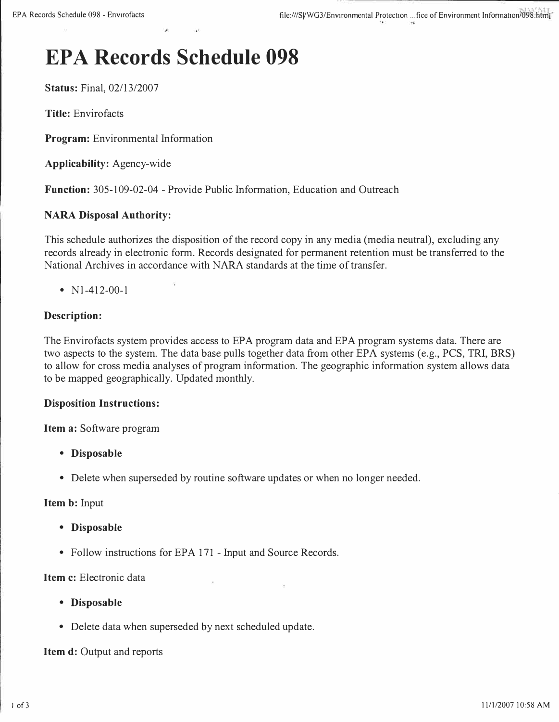# **EPA Records Schedule 098**

**Status:** Final, 02/13/2007

**Title:** Envirofacts

**Program:** Environmental Information

**Applicability:** Agency-wide

**Function:** 305-109-02-04 - Provide Public Information, Education and Outreach

#### **NARA Disposal Authority:**

This schedule authorizes the disposition of the record copy in any media (media neutral), excluding any records already in electronic form. Records designated for permanent retention must be transferred to the National Archives in accordance with NARA standards at the time of transfer.

• N<sub>1</sub>-412-00-1

### **Description:**

The Envirofacts system provides access to EPA program data and EPA program systems data. There are two aspects to the system. The data base pulls together data from other EPA systems (e.g., PCS, TRI, BRS) to allow for cross media analyses of program information. The geographic information system allows data to be mapped geographically. Updated monthly.

#### **Disposition Instructions:**

**Item a:** Software program

- **Disposable**
- Delete when superseded by routine software updates or when no longer needed.

**Item b:** Input

- **Disposable**
- Follow instructions for EPA 171 Input and Source Records.

**Item c:** Electronic data

- **Disposable**
- Delete data when superseded by next scheduled update.

#### **Item d:** Output and reports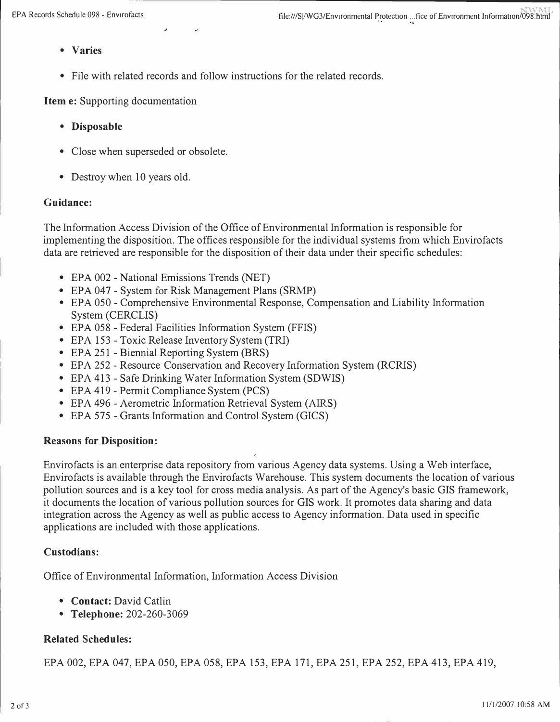- **Varies**
- **File with related records and follow instructions for the related records.**

**Item e: Supporting documentation** 

- **Disposable**
- **Close when superseded or obsolete.**
- **Destroy when 10 years old.**

#### **Guidance:**

**The Information Access Division of the Office of Environmental Information is responsible for implementing the disposition. The offices responsible for the individual systems from which Envirofacts data are retrieved are responsible for the disposition of their data under their specific schedules:** 

- **EPA 002 - National Emissions Trends (NET)**
- **EPA 047 - System for Risk Management Plans (SRMP)**
- **EPA 050 - Comprehensive Environmental Response, Compensation and Liability Information System (CERCLIS)**
- **EPA 058 - Federal Facilities Information System (FFIS)**
- **EPA 153 - Toxic Release Inventory System (TRI)**
- **EPA 251 - Biennial Reporting System (BRS)**
- **EPA 252 - Resource Conservation and Recovery Information System (RCRIS)**
- **EPA 413 - Safe Drinking Water Information System (SDWIS)**
- **EPA 419 - Permit Compliance System (PCS)**
- **EPA 496 - Aerometric Information Retrieval System (AIRS)**
- **EPA 575 - Grants Information and Control System (GICS)**

#### **Reasons for Disposition:**

**Envirofacts is an enterprise data repository from various Agency data systems. Using a Web interface, Envirofacts is available through the Envirofacts Warehouse. This system documents the location of various pollution sources and is a key tool for cross media analysis. As part of the Agency's basic GIS framework, it documents the location of various pollution sources for GIS work. It promotes data sharing and data integration across the Agency as well as public access to Agency information. Data used in specific applications are included with those applications.** 

#### **Custodians:**

**Office of Environmental Information, Information Access Division** 

- **Contact: David Catlin**
- **Telephone: 202-260-3069**

### **Related Schedules:**

**EPA 002, EPA 047, EPA 050, EPA 058, EPA 153, EPA 171, EPA 251, EPA 252, EPA 413, EPA 419,**